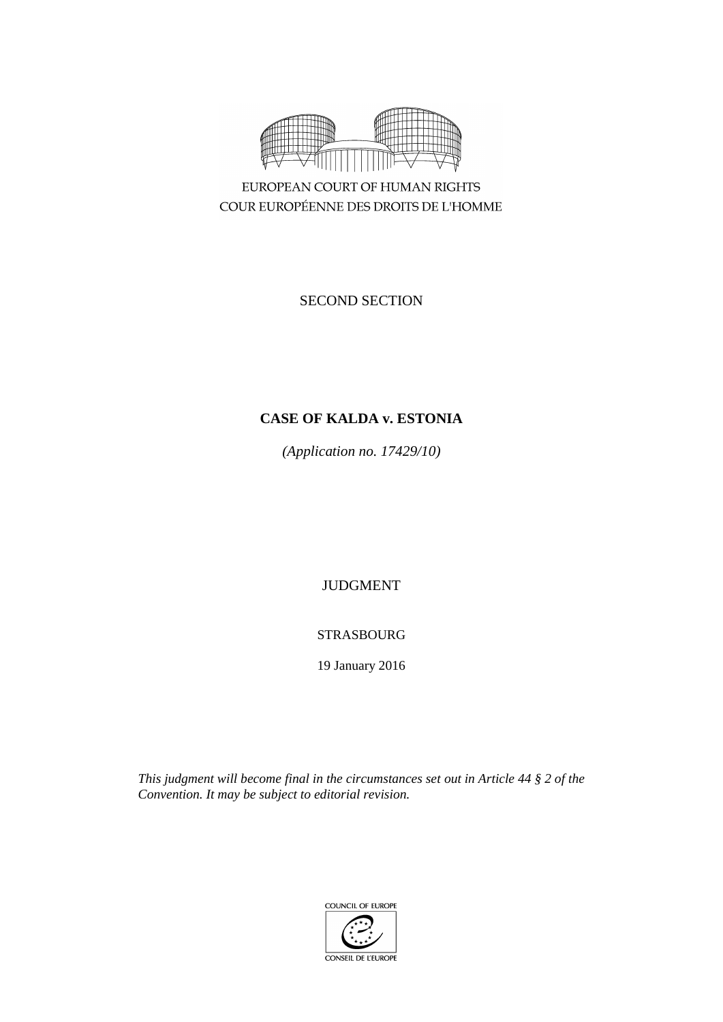

EUROPEAN COURT OF HUMAN RIGHTS COUR EUROPÉENNE DES DROITS DE L'HOMME

SECOND SECTION

# **CASE OF KALDA v. ESTONIA**

*(Application no. 17429/10)*

JUDGMENT

STRASBOURG

19 January 2016

*This judgment will become final in the circumstances set out in Article 44 § 2 of the Convention. It may be subject to editorial revision.*

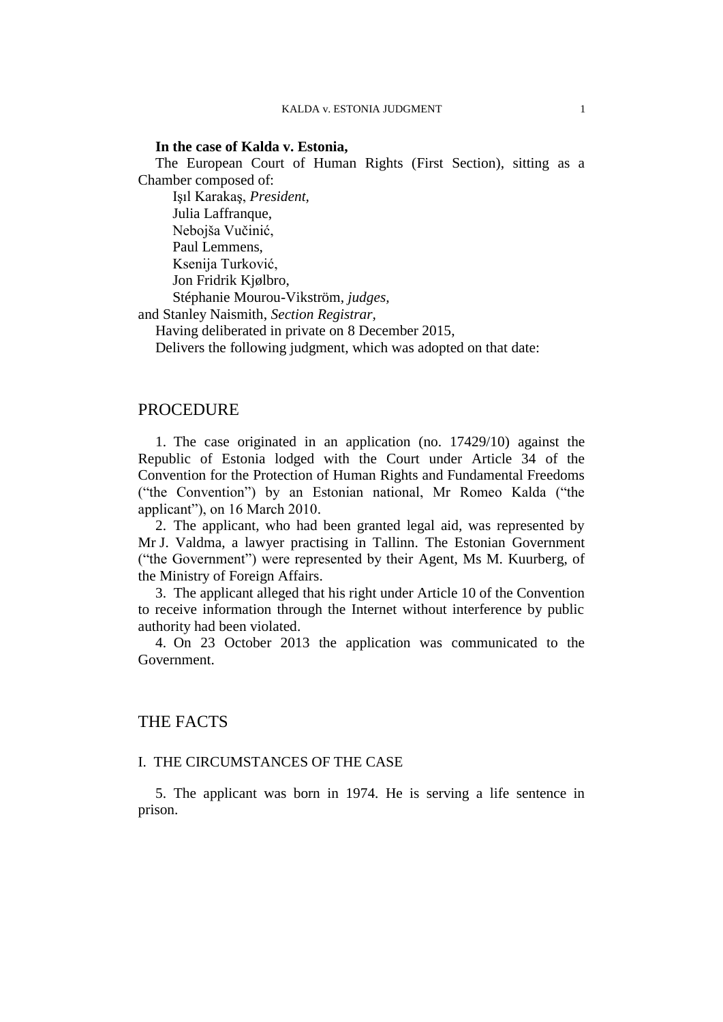#### **In the case of Kalda v. Estonia,**

The European Court of Human Rights (First Section), sitting as a Chamber composed of:

Işıl Karakaş, *President,* Julia Laffranque, Nebojša Vučinić, Paul Lemmens, Ksenija Turković, Jon Fridrik Kjølbro, Stéphanie Mourou-Vikström, *judges,* and Stanley Naismith, *Section Registrar,*

Having deliberated in private on 8 December 2015,

Delivers the following judgment, which was adopted on that date:

## PROCEDURE

1. The case originated in an application (no. 17429/10) against the Republic of Estonia lodged with the Court under Article 34 of the Convention for the Protection of Human Rights and Fundamental Freedoms ("the Convention") by an Estonian national, Mr Romeo Kalda ("the applicant"), on 16 March 2010.

2. The applicant, who had been granted legal aid, was represented by Mr J. Valdma, a lawyer practising in Tallinn. The Estonian Government ("the Government") were represented by their Agent, Ms M. Kuurberg, of the Ministry of Foreign Affairs.

3. The applicant alleged that his right under Article 10 of the Convention to receive information through the Internet without interference by public authority had been violated.

4. On 23 October 2013 the application was communicated to the Government.

## THE FACTS

### I. THE CIRCUMSTANCES OF THE CASE

5. The applicant was born in 1974. He is serving a life sentence in prison.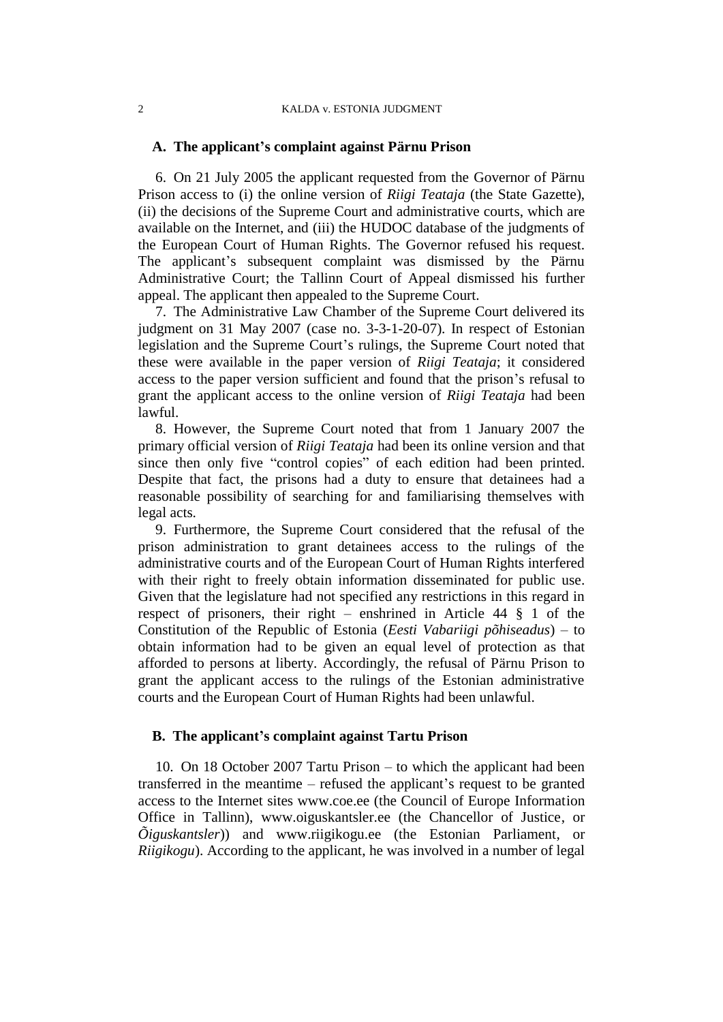#### 2 KALDA v. ESTONIA JUDGMENT

#### **A. The applicant's complaint against Pärnu Prison**

6. On 21 July 2005 the applicant requested from the Governor of Pärnu Prison access to (i) the online version of *Riigi Teataja* (the State Gazette), (ii) the decisions of the Supreme Court and administrative courts, which are available on the Internet, and (iii) the HUDOC database of the judgments of the European Court of Human Rights. The Governor refused his request. The applicant's subsequent complaint was dismissed by the Pärnu Administrative Court; the Tallinn Court of Appeal dismissed his further appeal. The applicant then appealed to the Supreme Court.

7. The Administrative Law Chamber of the Supreme Court delivered its judgment on 31 May 2007 (case no. 3-3-1-20-07). In respect of Estonian legislation and the Supreme Court's rulings, the Supreme Court noted that these were available in the paper version of *Riigi Teataja*; it considered access to the paper version sufficient and found that the prison's refusal to grant the applicant access to the online version of *Riigi Teataja* had been lawful.

8. However, the Supreme Court noted that from 1 January 2007 the primary official version of *Riigi Teataja* had been its online version and that since then only five "control copies" of each edition had been printed. Despite that fact, the prisons had a duty to ensure that detainees had a reasonable possibility of searching for and familiarising themselves with legal acts.

9. Furthermore, the Supreme Court considered that the refusal of the prison administration to grant detainees access to the rulings of the administrative courts and of the European Court of Human Rights interfered with their right to freely obtain information disseminated for public use. Given that the legislature had not specified any restrictions in this regard in respect of prisoners, their right – enshrined in Article 44 § 1 of the Constitution of the Republic of Estonia (*Eesti Vabariigi põhiseadus*) – to obtain information had to be given an equal level of protection as that afforded to persons at liberty. Accordingly, the refusal of Pärnu Prison to grant the applicant access to the rulings of the Estonian administrative courts and the European Court of Human Rights had been unlawful.

## **B. The applicant's complaint against Tartu Prison**

10. On 18 October 2007 Tartu Prison – to which the applicant had been transferred in the meantime – refused the applicant's request to be granted access to the Internet sites www.coe.ee (the Council of Europe Information Office in Tallinn), www.oiguskantsler.ee (the Chancellor of Justice, or *Õiguskantsler*)) and www.riigikogu.ee (the Estonian Parliament, or *Riigikogu*). According to the applicant, he was involved in a number of legal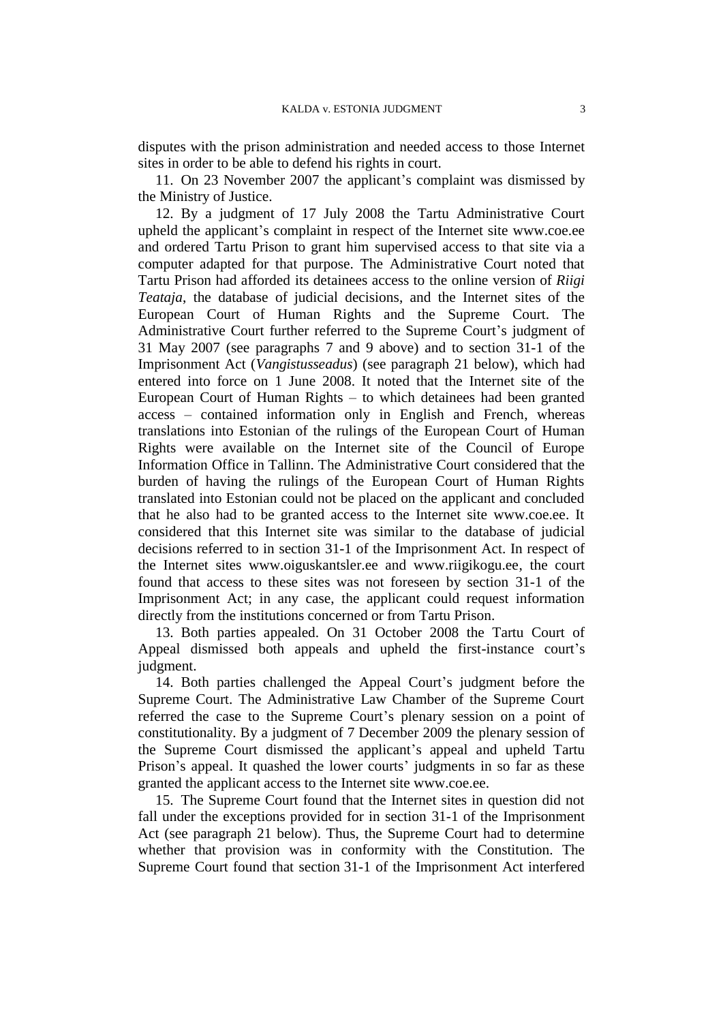disputes with the prison administration and needed access to those Internet sites in order to be able to defend his rights in court.

11. On 23 November 2007 the applicant's complaint was dismissed by the Ministry of Justice.

12. By a judgment of 17 July 2008 the Tartu Administrative Court upheld the applicant's complaint in respect of the Internet site www.coe.ee and ordered Tartu Prison to grant him supervised access to that site via a computer adapted for that purpose. The Administrative Court noted that Tartu Prison had afforded its detainees access to the online version of *Riigi Teataja*, the database of judicial decisions, and the Internet sites of the European Court of Human Rights and the Supreme Court. The Administrative Court further referred to the Supreme Court's judgment of 31 May 2007 (see paragraphs 7 and 9 above) and to section 31-1 of the Imprisonment Act (*Vangistusseadus*) (see paragraph 21 below), which had entered into force on 1 June 2008. It noted that the Internet site of the European Court of Human Rights – to which detainees had been granted access – contained information only in English and French, whereas translations into Estonian of the rulings of the European Court of Human Rights were available on the Internet site of the Council of Europe Information Office in Tallinn. The Administrative Court considered that the burden of having the rulings of the European Court of Human Rights translated into Estonian could not be placed on the applicant and concluded that he also had to be granted access to the Internet site www.coe.ee. It considered that this Internet site was similar to the database of judicial decisions referred to in section 31-1 of the Imprisonment Act. In respect of the Internet sites www.oiguskantsler.ee and www.riigikogu.ee, the court found that access to these sites was not foreseen by section 31-1 of the Imprisonment Act; in any case, the applicant could request information directly from the institutions concerned or from Tartu Prison.

13. Both parties appealed. On 31 October 2008 the Tartu Court of Appeal dismissed both appeals and upheld the first-instance court's judgment.

14. Both parties challenged the Appeal Court's judgment before the Supreme Court. The Administrative Law Chamber of the Supreme Court referred the case to the Supreme Court's plenary session on a point of constitutionality. By a judgment of 7 December 2009 the plenary session of the Supreme Court dismissed the applicant's appeal and upheld Tartu Prison's appeal. It quashed the lower courts' judgments in so far as these granted the applicant access to the Internet site www.coe.ee.

15. The Supreme Court found that the Internet sites in question did not fall under the exceptions provided for in section 31-1 of the Imprisonment Act (see paragraph 21 below). Thus, the Supreme Court had to determine whether that provision was in conformity with the Constitution. The Supreme Court found that section 31-1 of the Imprisonment Act interfered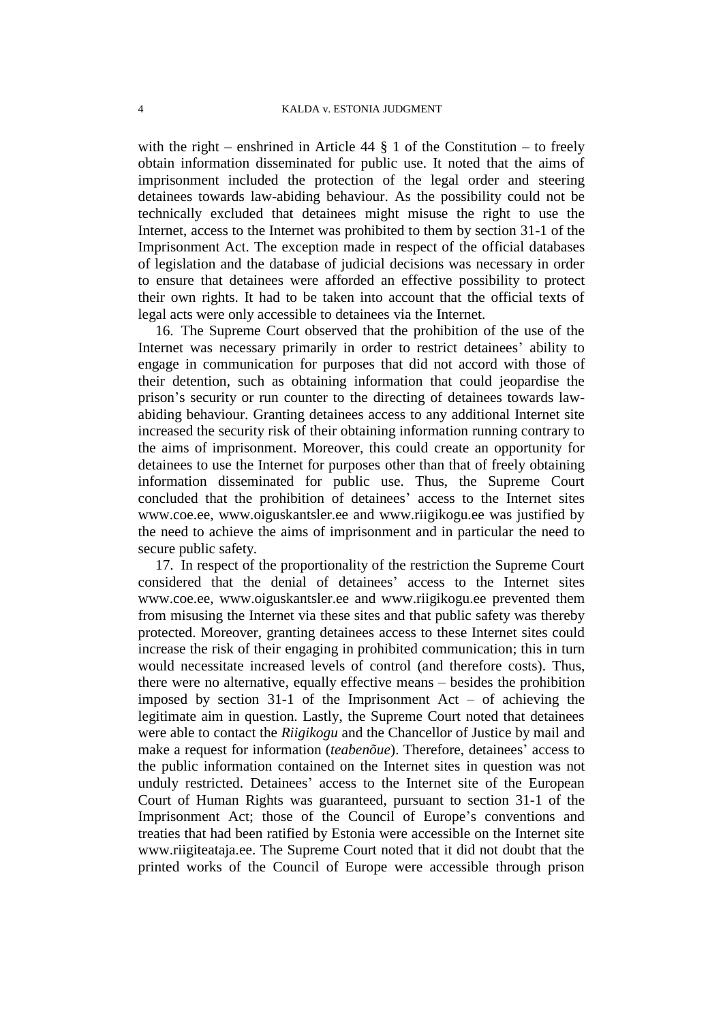with the right – enshrined in Article 44  $\S$  1 of the Constitution – to freely obtain information disseminated for public use. It noted that the aims of imprisonment included the protection of the legal order and steering detainees towards law-abiding behaviour. As the possibility could not be technically excluded that detainees might misuse the right to use the Internet, access to the Internet was prohibited to them by section 31-1 of the Imprisonment Act. The exception made in respect of the official databases of legislation and the database of judicial decisions was necessary in order to ensure that detainees were afforded an effective possibility to protect their own rights. It had to be taken into account that the official texts of legal acts were only accessible to detainees via the Internet.

16. The Supreme Court observed that the prohibition of the use of the Internet was necessary primarily in order to restrict detainees' ability to engage in communication for purposes that did not accord with those of their detention, such as obtaining information that could jeopardise the prison's security or run counter to the directing of detainees towards lawabiding behaviour. Granting detainees access to any additional Internet site increased the security risk of their obtaining information running contrary to the aims of imprisonment. Moreover, this could create an opportunity for detainees to use the Internet for purposes other than that of freely obtaining information disseminated for public use. Thus, the Supreme Court concluded that the prohibition of detainees' access to the Internet sites www.coe.ee, www.oiguskantsler.ee and www.riigikogu.ee was justified by the need to achieve the aims of imprisonment and in particular the need to secure public safety.

17. In respect of the proportionality of the restriction the Supreme Court considered that the denial of detainees' access to the Internet sites www.coe.ee, www.oiguskantsler.ee and www.riigikogu.ee prevented them from misusing the Internet via these sites and that public safety was thereby protected. Moreover, granting detainees access to these Internet sites could increase the risk of their engaging in prohibited communication; this in turn would necessitate increased levels of control (and therefore costs). Thus, there were no alternative, equally effective means – besides the prohibition imposed by section  $31-1$  of the Imprisonment Act – of achieving the legitimate aim in question. Lastly, the Supreme Court noted that detainees were able to contact the *Riigikogu* and the Chancellor of Justice by mail and make a request for information (*teabenõue*). Therefore, detainees' access to the public information contained on the Internet sites in question was not unduly restricted. Detainees' access to the Internet site of the European Court of Human Rights was guaranteed, pursuant to section 31-1 of the Imprisonment Act; those of the Council of Europe's conventions and treaties that had been ratified by Estonia were accessible on the Internet site www.riigiteataja.ee. The Supreme Court noted that it did not doubt that the printed works of the Council of Europe were accessible through prison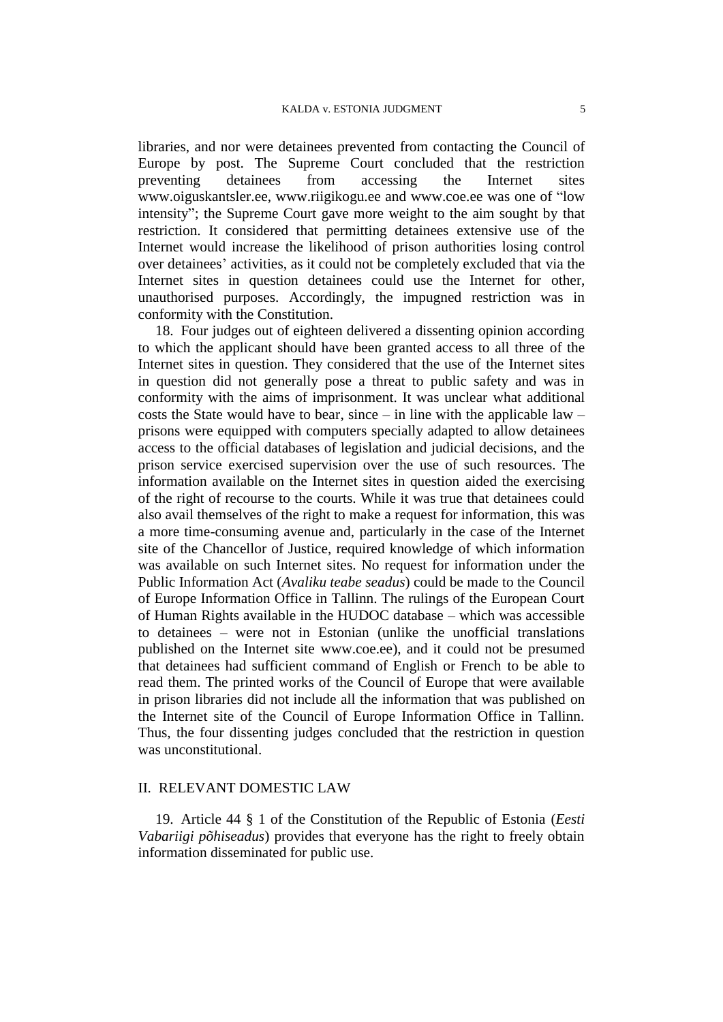libraries, and nor were detainees prevented from contacting the Council of Europe by post. The Supreme Court concluded that the restriction preventing detainees from accessing the Internet sites www.oiguskantsler.ee, www.riigikogu.ee and www.coe.ee was one of "low intensity"; the Supreme Court gave more weight to the aim sought by that restriction. It considered that permitting detainees extensive use of the Internet would increase the likelihood of prison authorities losing control over detainees' activities, as it could not be completely excluded that via the Internet sites in question detainees could use the Internet for other, unauthorised purposes. Accordingly, the impugned restriction was in conformity with the Constitution.

18. Four judges out of eighteen delivered a dissenting opinion according to which the applicant should have been granted access to all three of the Internet sites in question. They considered that the use of the Internet sites in question did not generally pose a threat to public safety and was in conformity with the aims of imprisonment. It was unclear what additional costs the State would have to bear, since – in line with the applicable law – prisons were equipped with computers specially adapted to allow detainees access to the official databases of legislation and judicial decisions, and the prison service exercised supervision over the use of such resources. The information available on the Internet sites in question aided the exercising of the right of recourse to the courts. While it was true that detainees could also avail themselves of the right to make a request for information, this was a more time-consuming avenue and, particularly in the case of the Internet site of the Chancellor of Justice, required knowledge of which information was available on such Internet sites. No request for information under the Public Information Act (*Avaliku teabe seadus*) could be made to the Council of Europe Information Office in Tallinn. The rulings of the European Court of Human Rights available in the HUDOC database – which was accessible to detainees – were not in Estonian (unlike the unofficial translations published on the Internet site [www.coe.ee\)](http://www.coe.ee/), and it could not be presumed that detainees had sufficient command of English or French to be able to read them. The printed works of the Council of Europe that were available in prison libraries did not include all the information that was published on the Internet site of the Council of Europe Information Office in Tallinn. Thus, the four dissenting judges concluded that the restriction in question was unconstitutional.

#### II. RELEVANT DOMESTIC LAW

19. Article 44 § 1 of the Constitution of the Republic of Estonia (*Eesti Vabariigi põhiseadus*) provides that everyone has the right to freely obtain information disseminated for public use.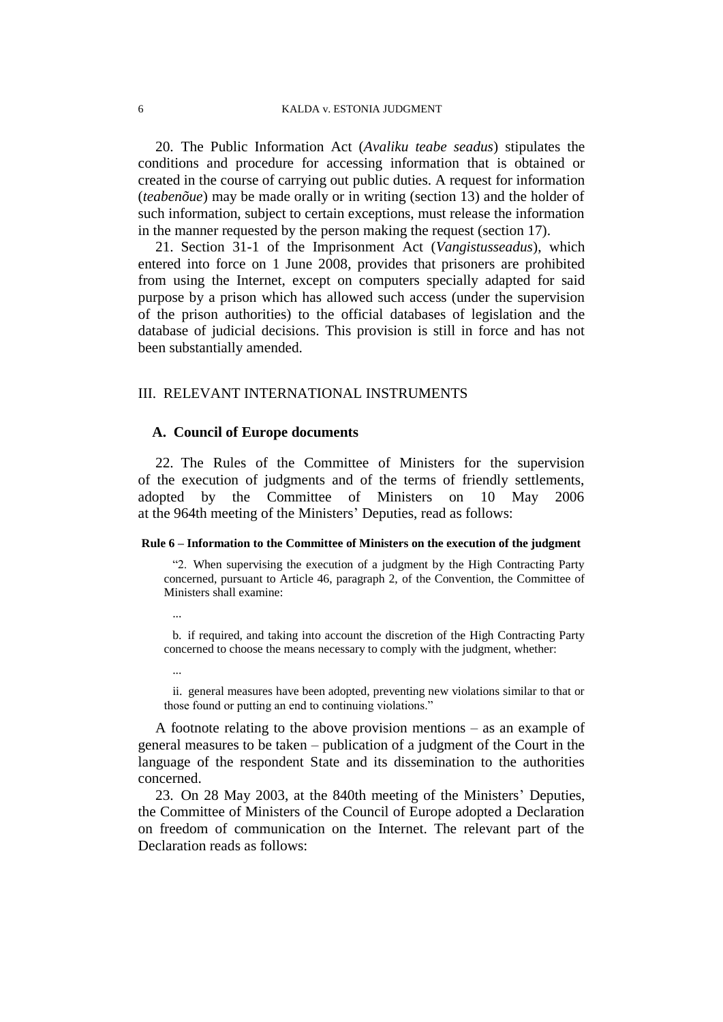20. The Public Information Act (*Avaliku teabe seadus*) stipulates the conditions and procedure for accessing information that is obtained or created in the course of carrying out public duties. A request for information (*teabenõue*) may be made orally or in writing (section 13) and the holder of such information, subject to certain exceptions, must release the information in the manner requested by the person making the request (section 17).

21. Section 31-1 of the Imprisonment Act (*Vangistusseadus*), which entered into force on 1 June 2008, provides that prisoners are prohibited from using the Internet, except on computers specially adapted for said purpose by a prison which has allowed such access (under the supervision of the prison authorities) to the official databases of legislation and the database of judicial decisions. This provision is still in force and has not been substantially amended.

### III. RELEVANT INTERNATIONAL INSTRUMENTS

#### **A. Council of Europe documents**

22. The Rules of the Committee of Ministers for the supervision of the execution of judgments and of the terms of friendly settlements, adopted by the Committee of Ministers on 10 May 2006 at the 964th meeting of the Ministers' Deputies, read as follows:

#### **Rule 6 – Information to the Committee of Ministers on the execution of the judgment**

"2. When supervising the execution of a judgment by the High Contracting Party concerned, pursuant to Article 46, paragraph 2, of the Convention, the Committee of Ministers shall examine:

...

b. if required, and taking into account the discretion of the High Contracting Party concerned to choose the means necessary to comply with the judgment, whether:

...

ii. general measures have been adopted, preventing new violations similar to that or those found or putting an end to continuing violations."

A footnote relating to the above provision mentions – as an example of general measures to be taken – publication of a judgment of the Court in the language of the respondent State and its dissemination to the authorities concerned.

23. On 28 May 2003, at the 840th meeting of the Ministers' Deputies, the Committee of Ministers of the Council of Europe adopted a Declaration on freedom of communication on the Internet. The relevant part of the Declaration reads as follows: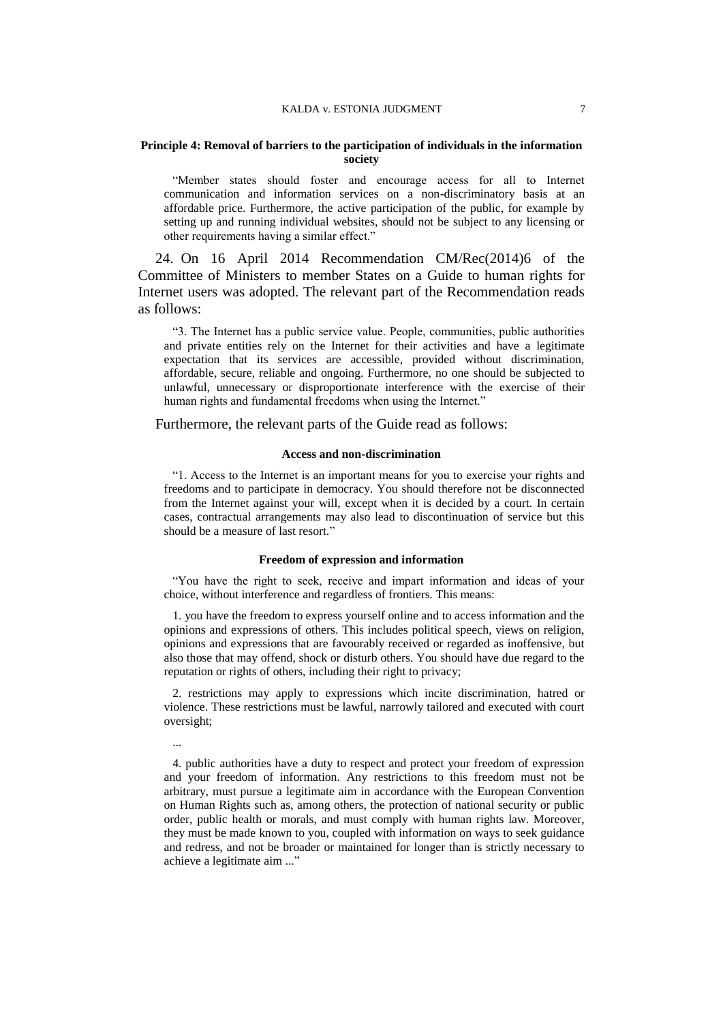#### **Principle 4: Removal of barriers to the participation of individuals in the information society**

"Member states should foster and encourage access for all to Internet communication and information services on a non-discriminatory basis at an affordable price. Furthermore, the active participation of the public, for example by setting up and running individual websites, should not be subject to any licensing or other requirements having a similar effect."

24. On 16 April 2014 Recommendation CM/Rec(2014)6 of the Committee of Ministers to member States on a Guide to human rights for Internet users was adopted. The relevant part of the Recommendation reads as follows:

"3. The Internet has a public service value. People, communities, public authorities and private entities rely on the Internet for their activities and have a legitimate expectation that its services are accessible, provided without discrimination, affordable, secure, reliable and ongoing. Furthermore, no one should be subjected to unlawful, unnecessary or disproportionate interference with the exercise of their human rights and fundamental freedoms when using the Internet."

Furthermore, the relevant parts of the Guide read as follows:

#### **Access and non-discrimination**

"1. Access to the Internet is an important means for you to exercise your rights and freedoms and to participate in democracy. You should therefore not be disconnected from the Internet against your will, except when it is decided by a court. In certain cases, contractual arrangements may also lead to discontinuation of service but this should be a measure of last resort."

### **Freedom of expression and information**

"You have the right to seek, receive and impart information and ideas of your choice, without interference and regardless of frontiers. This means:

1. you have the freedom to express yourself online and to access information and the opinions and expressions of others. This includes political speech, views on religion, opinions and expressions that are favourably received or regarded as inoffensive, but also those that may offend, shock or disturb others. You should have due regard to the reputation or rights of others, including their right to privacy;

2. restrictions may apply to expressions which incite discrimination, hatred or violence. These restrictions must be lawful, narrowly tailored and executed with court oversight;

...

4. public authorities have a duty to respect and protect your freedom of expression and your freedom of information. Any restrictions to this freedom must not be arbitrary, must pursue a legitimate aim in accordance with the European Convention on Human Rights such as, among others, the protection of national security or public order, public health or morals, and must comply with human rights law. Moreover, they must be made known to you, coupled with information on ways to seek guidance and redress, and not be broader or maintained for longer than is strictly necessary to achieve a legitimate aim ..."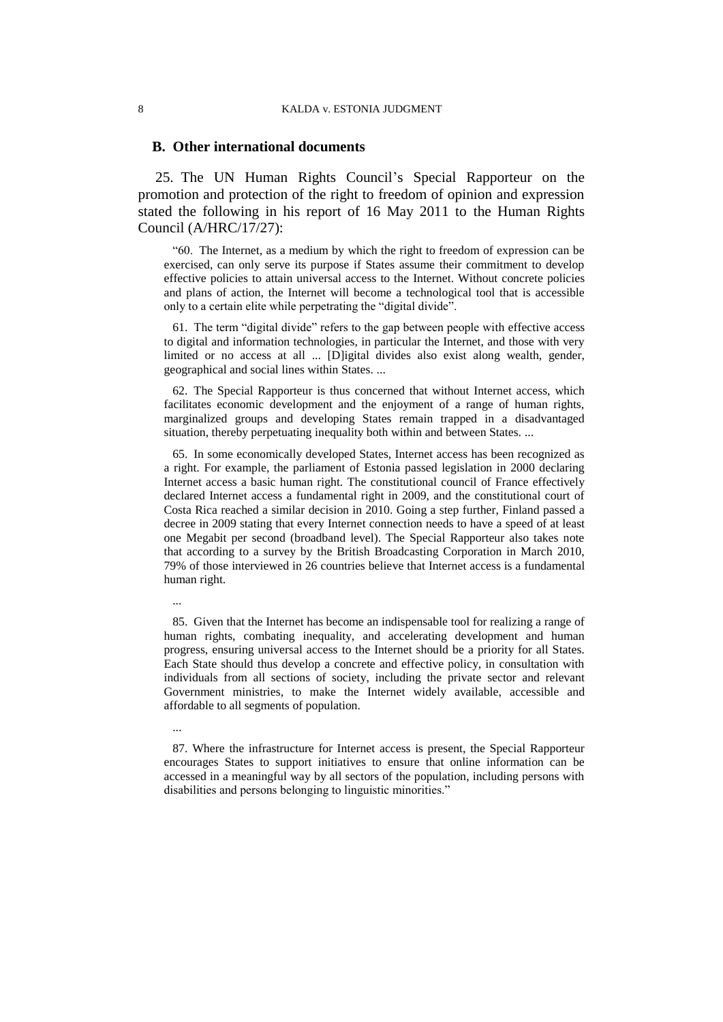#### **B. Other international documents**

25. The UN Human Rights Council's Special Rapporteur on the promotion and protection of the right to freedom of opinion and expression stated the following in his report of 16 May 2011 to the Human Rights Council (A/HRC/17/27):

"60. The Internet, as a medium by which the right to freedom of expression can be exercised, can only serve its purpose if States assume their commitment to develop effective policies to attain universal access to the Internet. Without concrete policies and plans of action, the Internet will become a technological tool that is accessible only to a certain elite while perpetrating the "digital divide".

61. The term "digital divide" refers to the gap between people with effective access to digital and information technologies, in particular the Internet, and those with very limited or no access at all ... [D]igital divides also exist along wealth, gender, geographical and social lines within States. ...

62. The Special Rapporteur is thus concerned that without Internet access, which facilitates economic development and the enjoyment of a range of human rights, marginalized groups and developing States remain trapped in a disadvantaged situation, thereby perpetuating inequality both within and between States. ...

65. In some economically developed States, Internet access has been recognized as a right. For example, the parliament of Estonia passed legislation in 2000 declaring Internet access a basic human right. The constitutional council of France effectively declared Internet access a fundamental right in 2009, and the constitutional court of Costa Rica reached a similar decision in 2010. Going a step further, Finland passed a decree in 2009 stating that every Internet connection needs to have a speed of at least one Megabit per second (broadband level). The Special Rapporteur also takes note that according to a survey by the British Broadcasting Corporation in March 2010, 79% of those interviewed in 26 countries believe that Internet access is a fundamental human right.

...

85. Given that the Internet has become an indispensable tool for realizing a range of human rights, combating inequality, and accelerating development and human progress, ensuring universal access to the Internet should be a priority for all States. Each State should thus develop a concrete and effective policy, in consultation with individuals from all sections of society, including the private sector and relevant Government ministries, to make the Internet widely available, accessible and affordable to all segments of population.

87. Where the infrastructure for Internet access is present, the Special Rapporteur encourages States to support initiatives to ensure that online information can be accessed in a meaningful way by all sectors of the population, including persons with disabilities and persons belonging to linguistic minorities."

<sup>...</sup>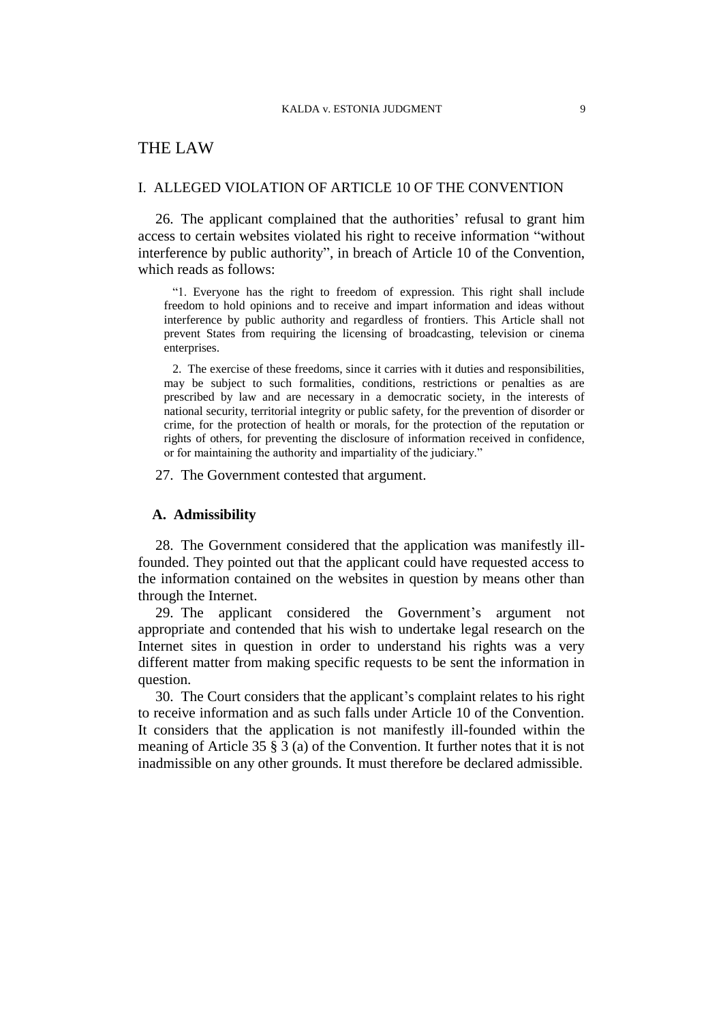## THE LAW

#### I. ALLEGED VIOLATION OF ARTICLE 10 OF THE CONVENTION

26. The applicant complained that the authorities' refusal to grant him access to certain websites violated his right to receive information "without interference by public authority", in breach of Article 10 of the Convention, which reads as follows:

"1. Everyone has the right to freedom of expression. This right shall include freedom to hold opinions and to receive and impart information and ideas without interference by public authority and regardless of frontiers. This Article shall not prevent States from requiring the licensing of broadcasting, television or cinema enterprises.

2. The exercise of these freedoms, since it carries with it duties and responsibilities, may be subject to such formalities, conditions, restrictions or penalties as are prescribed by law and are necessary in a democratic society, in the interests of national security, territorial integrity or public safety, for the prevention of disorder or crime, for the protection of health or morals, for the protection of the reputation or rights of others, for preventing the disclosure of information received in confidence, or for maintaining the authority and impartiality of the judiciary."

27. The Government contested that argument.

### **A. Admissibility**

28. The Government considered that the application was manifestly illfounded. They pointed out that the applicant could have requested access to the information contained on the websites in question by means other than through the Internet.

29. The applicant considered the Government's argument not appropriate and contended that his wish to undertake legal research on the Internet sites in question in order to understand his rights was a very different matter from making specific requests to be sent the information in question.

30. The Court considers that the applicant's complaint relates to his right to receive information and as such falls under Article 10 of the Convention. It considers that the application is not manifestly ill-founded within the meaning of Article 35 § 3 (a) of the Convention. It further notes that it is not inadmissible on any other grounds. It must therefore be declared admissible.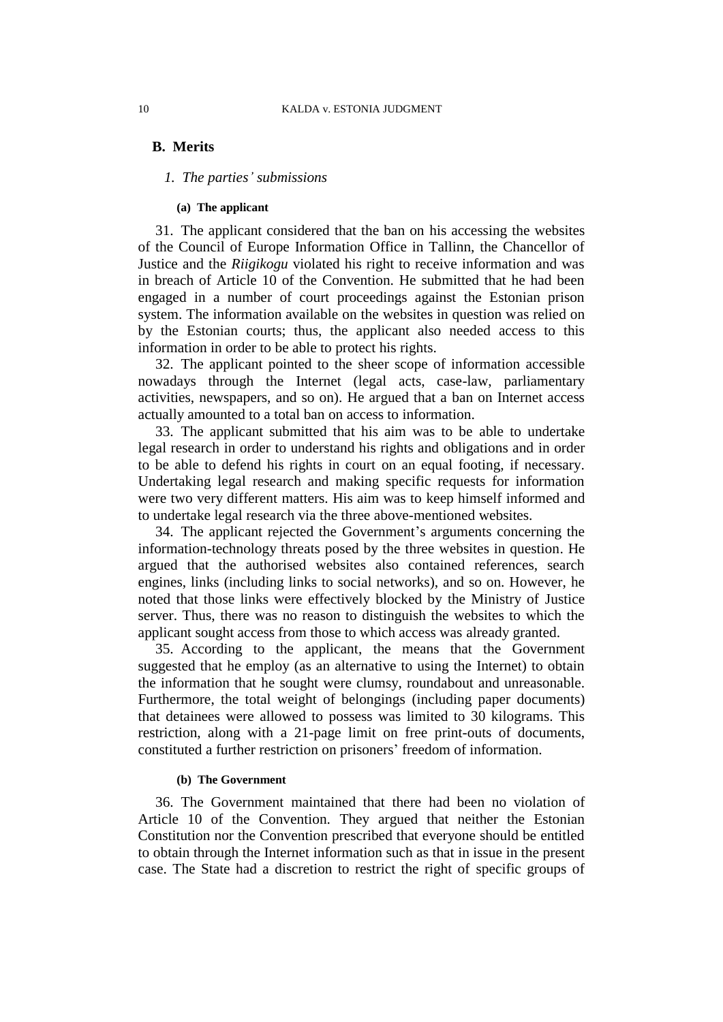## **B. Merits**

### *1. The parties' submissions*

#### **(a) The applicant**

31. The applicant considered that the ban on his accessing the websites of the Council of Europe Information Office in Tallinn, the Chancellor of Justice and the *Riigikogu* violated his right to receive information and was in breach of Article 10 of the Convention. He submitted that he had been engaged in a number of court proceedings against the Estonian prison system. The information available on the websites in question was relied on by the Estonian courts; thus, the applicant also needed access to this information in order to be able to protect his rights.

32. The applicant pointed to the sheer scope of information accessible nowadays through the Internet (legal acts, case-law, parliamentary activities, newspapers, and so on). He argued that a ban on Internet access actually amounted to a total ban on access to information.

33. The applicant submitted that his aim was to be able to undertake legal research in order to understand his rights and obligations and in order to be able to defend his rights in court on an equal footing, if necessary. Undertaking legal research and making specific requests for information were two very different matters. His aim was to keep himself informed and to undertake legal research via the three above-mentioned websites.

34. The applicant rejected the Government's arguments concerning the information-technology threats posed by the three websites in question. He argued that the authorised websites also contained references, search engines, links (including links to social networks), and so on. However, he noted that those links were effectively blocked by the Ministry of Justice server. Thus, there was no reason to distinguish the websites to which the applicant sought access from those to which access was already granted.

35. According to the applicant, the means that the Government suggested that he employ (as an alternative to using the Internet) to obtain the information that he sought were clumsy, roundabout and unreasonable. Furthermore, the total weight of belongings (including paper documents) that detainees were allowed to possess was limited to 30 kilograms. This restriction, along with a 21-page limit on free print-outs of documents, constituted a further restriction on prisoners' freedom of information.

#### **(b) The Government**

36. The Government maintained that there had been no violation of Article 10 of the Convention. They argued that neither the Estonian Constitution nor the Convention prescribed that everyone should be entitled to obtain through the Internet information such as that in issue in the present case. The State had a discretion to restrict the right of specific groups of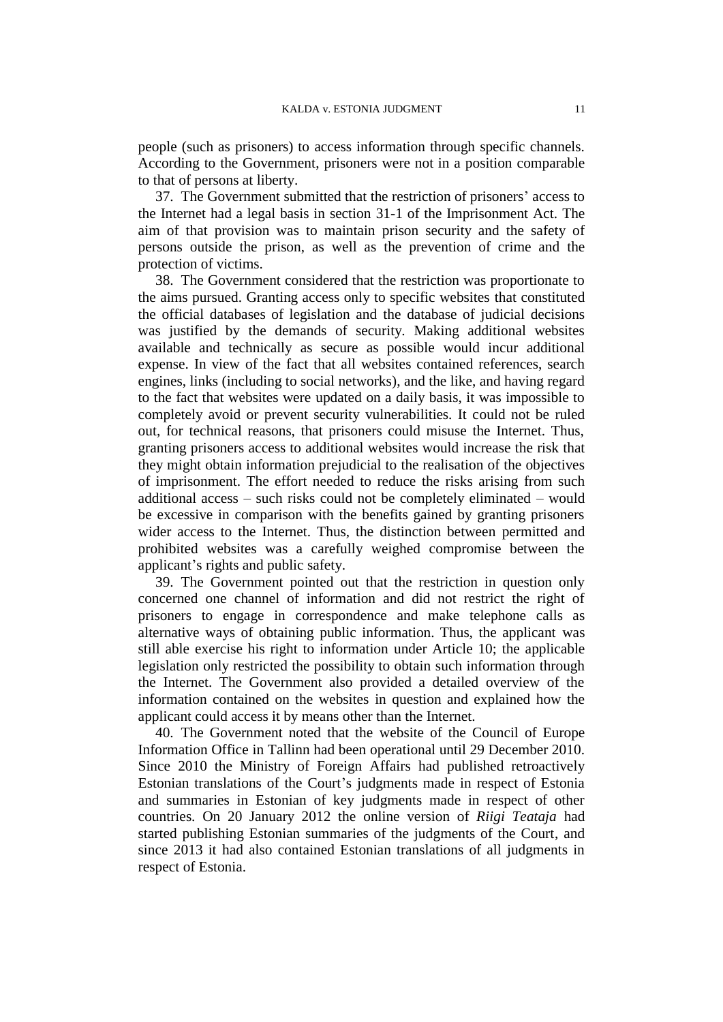people (such as prisoners) to access information through specific channels. According to the Government, prisoners were not in a position comparable to that of persons at liberty.

37. The Government submitted that the restriction of prisoners' access to the Internet had a legal basis in section 31-1 of the Imprisonment Act. The aim of that provision was to maintain prison security and the safety of persons outside the prison, as well as the prevention of crime and the protection of victims.

38. The Government considered that the restriction was proportionate to the aims pursued. Granting access only to specific websites that constituted the official databases of legislation and the database of judicial decisions was justified by the demands of security. Making additional websites available and technically as secure as possible would incur additional expense. In view of the fact that all websites contained references, search engines, links (including to social networks), and the like, and having regard to the fact that websites were updated on a daily basis, it was impossible to completely avoid or prevent security vulnerabilities. It could not be ruled out, for technical reasons, that prisoners could misuse the Internet. Thus, granting prisoners access to additional websites would increase the risk that they might obtain information prejudicial to the realisation of the objectives of imprisonment. The effort needed to reduce the risks arising from such additional access – such risks could not be completely eliminated – would be excessive in comparison with the benefits gained by granting prisoners wider access to the Internet. Thus, the distinction between permitted and prohibited websites was a carefully weighed compromise between the applicant's rights and public safety.

39. The Government pointed out that the restriction in question only concerned one channel of information and did not restrict the right of prisoners to engage in correspondence and make telephone calls as alternative ways of obtaining public information. Thus, the applicant was still able exercise his right to information under Article 10; the applicable legislation only restricted the possibility to obtain such information through the Internet. The Government also provided a detailed overview of the information contained on the websites in question and explained how the applicant could access it by means other than the Internet.

40. The Government noted that the website of the Council of Europe Information Office in Tallinn had been operational until 29 December 2010. Since 2010 the Ministry of Foreign Affairs had published retroactively Estonian translations of the Court's judgments made in respect of Estonia and summaries in Estonian of key judgments made in respect of other countries. On 20 January 2012 the online version of *Riigi Teataja* had started publishing Estonian summaries of the judgments of the Court, and since 2013 it had also contained Estonian translations of all judgments in respect of Estonia.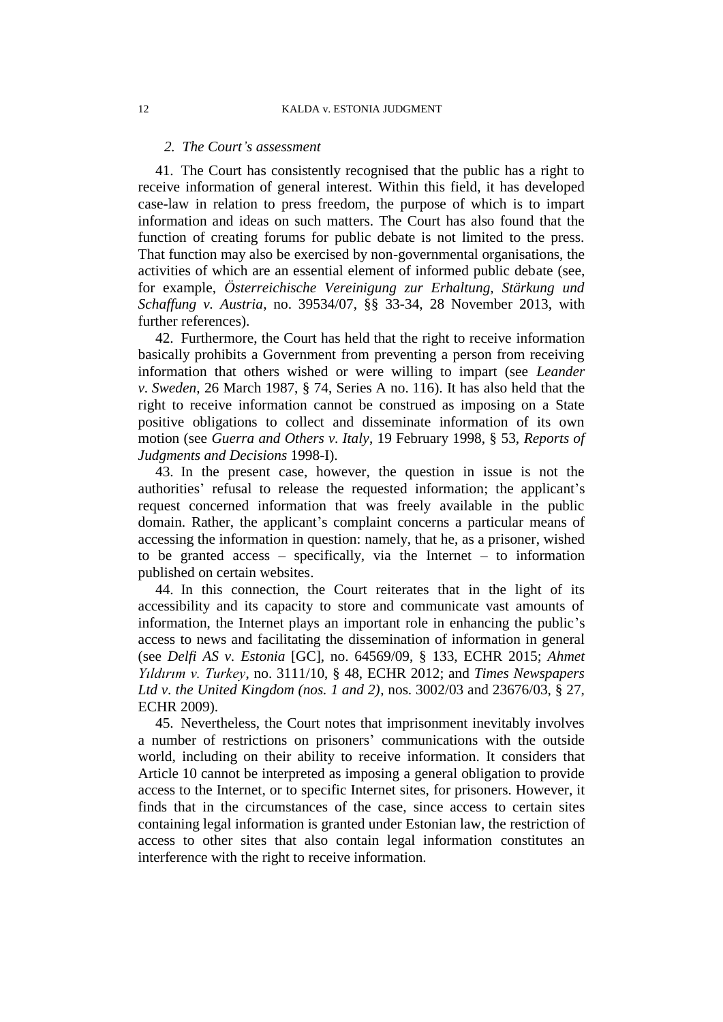#### *2. The Court's assessment*

41. The Court has consistently recognised that the public has a right to receive information of general interest. Within this field, it has developed case-law in relation to press freedom, the purpose of which is to impart information and ideas on such matters. The Court has also found that the function of creating forums for public debate is not limited to the press. That function may also be exercised by non-governmental organisations, the activities of which are an essential element of informed public debate (see, for example, *Österreichische Vereinigung zur Erhaltung, Stärkung und Schaffung v. Austria*, no. 39534/07, §§ 33-34, 28 November 2013, with further references).

42. Furthermore, the Court has held that the right to receive information basically prohibits a Government from preventing a person from receiving information that others wished or were willing to impart (see *Leander v. Sweden*, 26 March 1987, § 74, Series A no. 116). It has also held that the right to receive information cannot be construed as imposing on a State positive obligations to collect and disseminate information of its own motion (see *Guerra and Others v. Italy*, 19 February 1998, § 53, *Reports of Judgments and Decisions* 1998-I).

43. In the present case, however, the question in issue is not the authorities' refusal to release the requested information; the applicant's request concerned information that was freely available in the public domain. Rather, the applicant's complaint concerns a particular means of accessing the information in question: namely, that he, as a prisoner, wished to be granted access – specifically, via the Internet – to information published on certain websites.

44. In this connection, the Court reiterates that in the light of its accessibility and its capacity to store and communicate vast amounts of information, the Internet plays an important role in enhancing the public's access to news and facilitating the dissemination of information in general (see *Delfi AS v. Estonia* [GC], no. 64569/09, § 133, ECHR 2015; *Ahmet Yıldırım v. Turkey*, no. 3111/10, § 48, ECHR 2012; and *Times Newspapers Ltd v. the United Kingdom (nos. 1 and 2)*, nos. 3002/03 and 23676/03, § 27, ECHR 2009).

45. Nevertheless, the Court notes that imprisonment inevitably involves a number of restrictions on prisoners' communications with the outside world, including on their ability to receive information. It considers that Article 10 cannot be interpreted as imposing a general obligation to provide access to the Internet, or to specific Internet sites, for prisoners. However, it finds that in the circumstances of the case, since access to certain sites containing legal information is granted under Estonian law, the restriction of access to other sites that also contain legal information constitutes an interference with the right to receive information.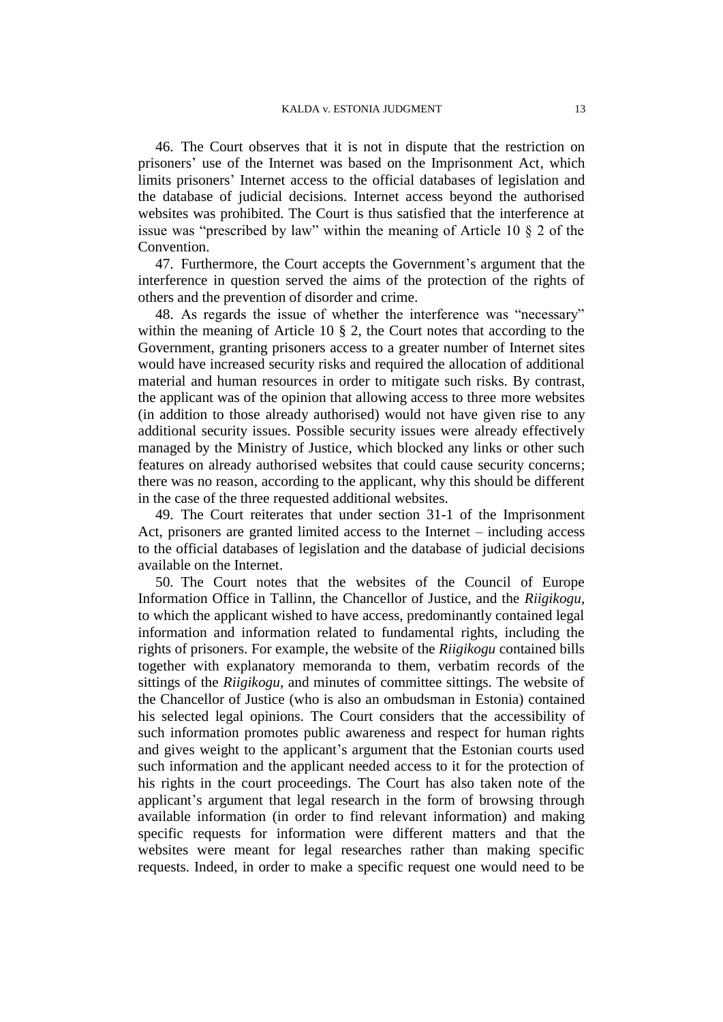46. The Court observes that it is not in dispute that the restriction on prisoners' use of the Internet was based on the Imprisonment Act, which limits prisoners' Internet access to the official databases of legislation and the database of judicial decisions. Internet access beyond the authorised websites was prohibited. The Court is thus satisfied that the interference at issue was "prescribed by law" within the meaning of Article 10 § 2 of the Convention.

47. Furthermore, the Court accepts the Government's argument that the interference in question served the aims of the protection of the rights of others and the prevention of disorder and crime.

48. As regards the issue of whether the interference was "necessary" within the meaning of Article 10 § 2, the Court notes that according to the Government, granting prisoners access to a greater number of Internet sites would have increased security risks and required the allocation of additional material and human resources in order to mitigate such risks. By contrast, the applicant was of the opinion that allowing access to three more websites (in addition to those already authorised) would not have given rise to any additional security issues. Possible security issues were already effectively managed by the Ministry of Justice, which blocked any links or other such features on already authorised websites that could cause security concerns; there was no reason, according to the applicant, why this should be different in the case of the three requested additional websites.

49. The Court reiterates that under section 31-1 of the Imprisonment Act, prisoners are granted limited access to the Internet – including access to the official databases of legislation and the database of judicial decisions available on the Internet.

50. The Court notes that the websites of the Council of Europe Information Office in Tallinn, the Chancellor of Justice, and the *Riigikogu*, to which the applicant wished to have access, predominantly contained legal information and information related to fundamental rights, including the rights of prisoners. For example, the website of the *Riigikogu* contained bills together with explanatory memoranda to them, verbatim records of the sittings of the *Riigikogu*, and minutes of committee sittings. The website of the Chancellor of Justice (who is also an ombudsman in Estonia) contained his selected legal opinions. The Court considers that the accessibility of such information promotes public awareness and respect for human rights and gives weight to the applicant's argument that the Estonian courts used such information and the applicant needed access to it for the protection of his rights in the court proceedings. The Court has also taken note of the applicant's argument that legal research in the form of browsing through available information (in order to find relevant information) and making specific requests for information were different matters and that the websites were meant for legal researches rather than making specific requests. Indeed, in order to make a specific request one would need to be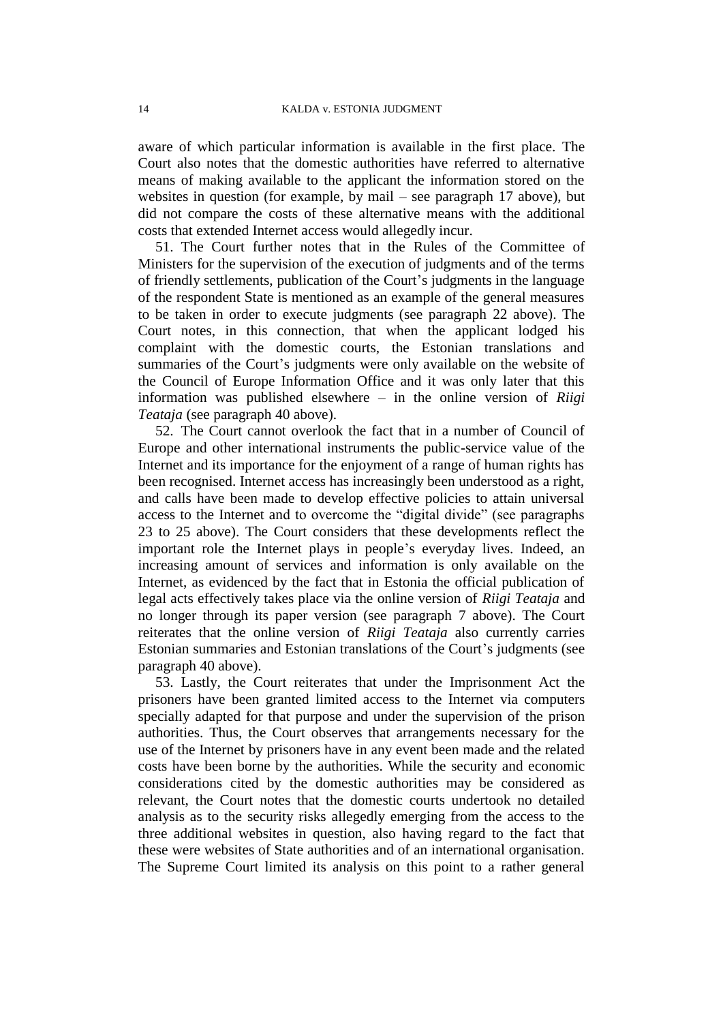aware of which particular information is available in the first place. The Court also notes that the domestic authorities have referred to alternative means of making available to the applicant the information stored on the websites in question (for example, by mail – see paragraph 17 above), but did not compare the costs of these alternative means with the additional costs that extended Internet access would allegedly incur.

51. The Court further notes that in the Rules of the Committee of Ministers for the supervision of the execution of judgments and of the terms of friendly settlements, publication of the Court's judgments in the language of the respondent State is mentioned as an example of the general measures to be taken in order to execute judgments (see paragraph 22 above). The Court notes, in this connection, that when the applicant lodged his complaint with the domestic courts, the Estonian translations and summaries of the Court's judgments were only available on the website of the Council of Europe Information Office and it was only later that this information was published elsewhere – in the online version of *Riigi Teataja* (see paragraph 40 above).

52. The Court cannot overlook the fact that in a number of Council of Europe and other international instruments the public-service value of the Internet and its importance for the enjoyment of a range of human rights has been recognised. Internet access has increasingly been understood as a right, and calls have been made to develop effective policies to attain universal access to the Internet and to overcome the "digital divide" (see paragraphs 23 to 25 above). The Court considers that these developments reflect the important role the Internet plays in people's everyday lives. Indeed, an increasing amount of services and information is only available on the Internet, as evidenced by the fact that in Estonia the official publication of legal acts effectively takes place via the online version of *Riigi Teataja* and no longer through its paper version (see paragraph 7 above). The Court reiterates that the online version of *Riigi Teataja* also currently carries Estonian summaries and Estonian translations of the Court's judgments (see paragraph 40 above).

53. Lastly, the Court reiterates that under the Imprisonment Act the prisoners have been granted limited access to the Internet via computers specially adapted for that purpose and under the supervision of the prison authorities. Thus, the Court observes that arrangements necessary for the use of the Internet by prisoners have in any event been made and the related costs have been borne by the authorities. While the security and economic considerations cited by the domestic authorities may be considered as relevant, the Court notes that the domestic courts undertook no detailed analysis as to the security risks allegedly emerging from the access to the three additional websites in question, also having regard to the fact that these were websites of State authorities and of an international organisation. The Supreme Court limited its analysis on this point to a rather general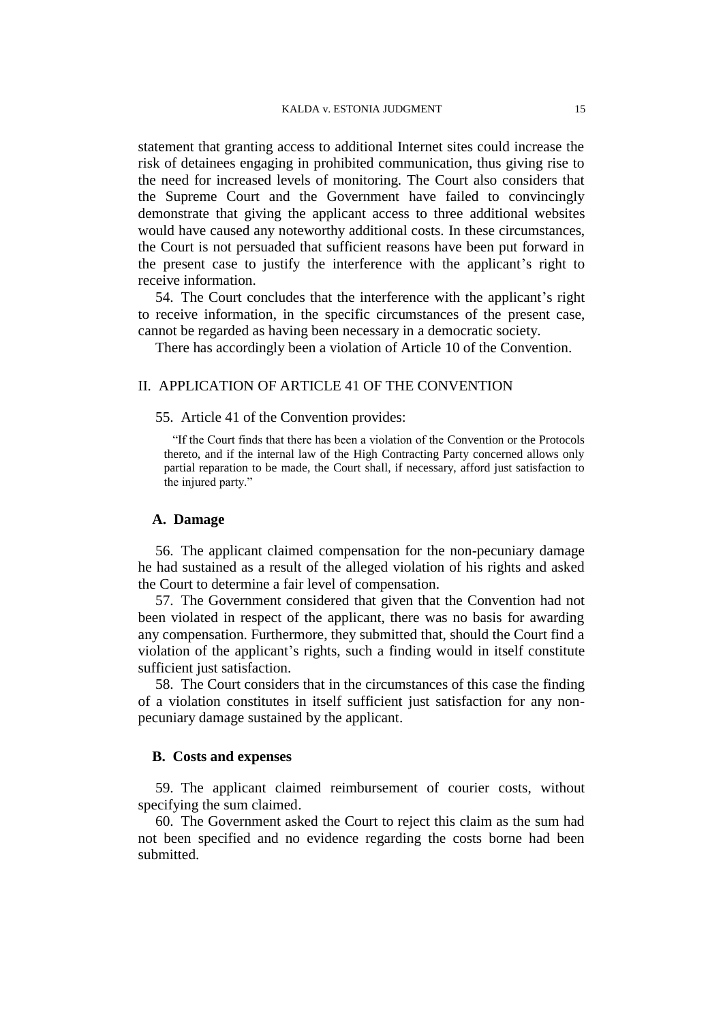statement that granting access to additional Internet sites could increase the risk of detainees engaging in prohibited communication, thus giving rise to the need for increased levels of monitoring. The Court also considers that the Supreme Court and the Government have failed to convincingly demonstrate that giving the applicant access to three additional websites would have caused any noteworthy additional costs. In these circumstances, the Court is not persuaded that sufficient reasons have been put forward in the present case to justify the interference with the applicant's right to receive information.

54. The Court concludes that the interference with the applicant's right to receive information, in the specific circumstances of the present case, cannot be regarded as having been necessary in a democratic society.

There has accordingly been a violation of Article 10 of the Convention.

## II. APPLICATION OF ARTICLE 41 OF THE CONVENTION

55. Article 41 of the Convention provides:

"If the Court finds that there has been a violation of the Convention or the Protocols thereto, and if the internal law of the High Contracting Party concerned allows only partial reparation to be made, the Court shall, if necessary, afford just satisfaction to the injured party."

#### **A. Damage**

56. The applicant claimed compensation for the non-pecuniary damage he had sustained as a result of the alleged violation of his rights and asked the Court to determine a fair level of compensation.

57. The Government considered that given that the Convention had not been violated in respect of the applicant, there was no basis for awarding any compensation. Furthermore, they submitted that, should the Court find a violation of the applicant's rights, such a finding would in itself constitute sufficient just satisfaction.

58. The Court considers that in the circumstances of this case the finding of a violation constitutes in itself sufficient just satisfaction for any nonpecuniary damage sustained by the applicant.

### **B. Costs and expenses**

59. The applicant claimed reimbursement of courier costs, without specifying the sum claimed.

60. The Government asked the Court to reject this claim as the sum had not been specified and no evidence regarding the costs borne had been submitted.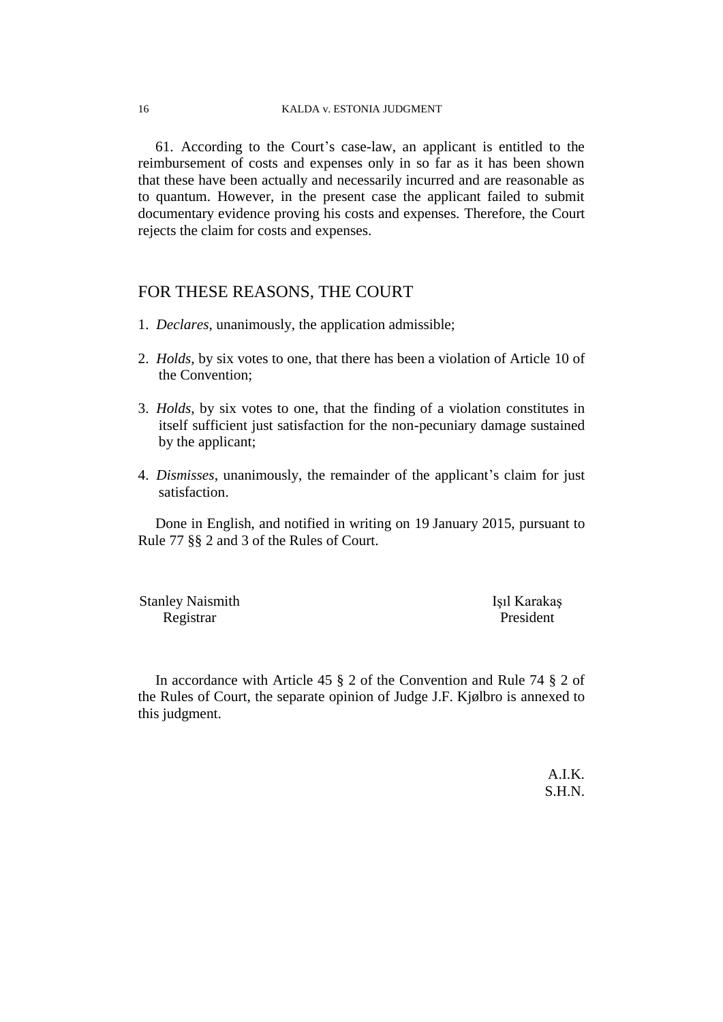61. According to the Court's case-law, an applicant is entitled to the reimbursement of costs and expenses only in so far as it has been shown that these have been actually and necessarily incurred and are reasonable as to quantum. However, in the present case the applicant failed to submit documentary evidence proving his costs and expenses. Therefore, the Court rejects the claim for costs and expenses.

## FOR THESE REASONS, THE COURT

- 1. *Declares*, unanimously, the application admissible;
- 2. *Holds*, by six votes to one, that there has been a violation of Article 10 of the Convention;
- 3. *Holds*, by six votes to one, that the finding of a violation constitutes in itself sufficient just satisfaction for the non-pecuniary damage sustained by the applicant;
- 4. *Dismisses*, unanimously, the remainder of the applicant's claim for just satisfaction.

Done in English, and notified in writing on 19 January 2015, pursuant to Rule 77 §§ 2 and 3 of the Rules of Court.

Stanley Naismith Işıl Karakaş Registrar President

In accordance with Article 45 § 2 of the Convention and Rule 74 § 2 of the Rules of Court, the separate opinion of Judge J.F. Kjølbro is annexed to this judgment.

> A.I.K. S.H.N.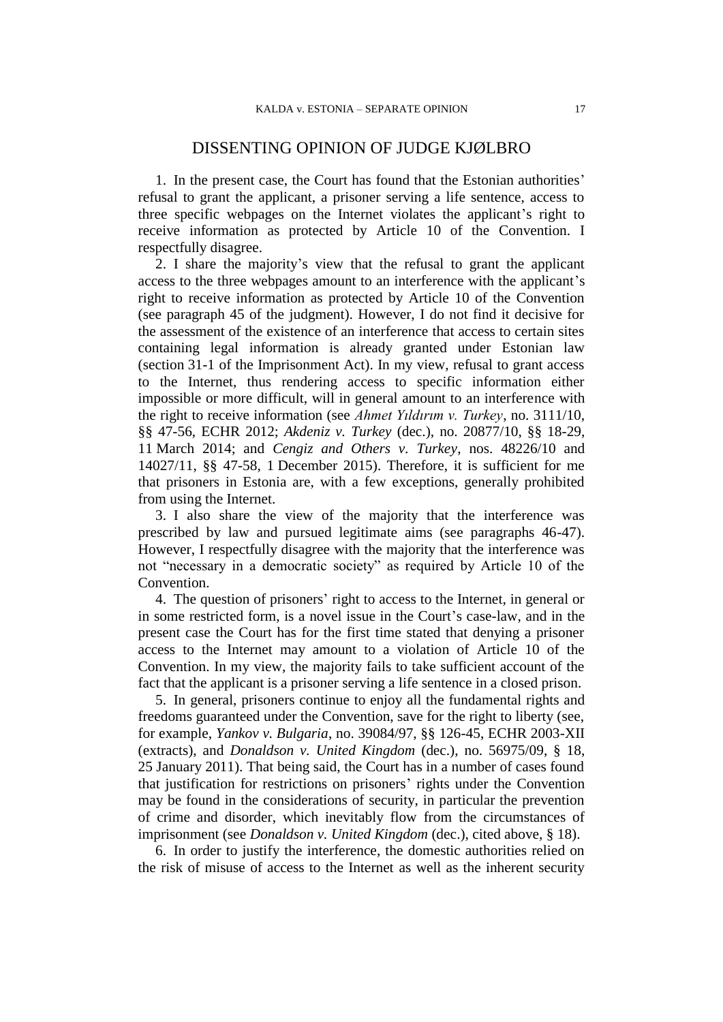## DISSENTING OPINION OF JUDGE KJØLBRO

1. In the present case, the Court has found that the Estonian authorities' refusal to grant the applicant, a prisoner serving a life sentence, access to three specific webpages on the Internet violates the applicant's right to receive information as protected by Article 10 of the Convention. I respectfully disagree.

2. I share the majority's view that the refusal to grant the applicant access to the three webpages amount to an interference with the applicant's right to receive information as protected by Article 10 of the Convention (see paragraph 45 of the judgment). However, I do not find it decisive for the assessment of the existence of an interference that access to certain sites containing legal information is already granted under Estonian law (section 31-1 of the Imprisonment Act). In my view, refusal to grant access to the Internet, thus rendering access to specific information either impossible or more difficult, will in general amount to an interference with the right to receive information (see *Ahmet Yıldırım v. Turkey*, no. 3111/10, §§ 47-56, ECHR 2012; *Akdeniz v. Turkey* (dec.), no. 20877/10, §§ 18-29, 11 March 2014; and *Cengiz and Others v. Turkey*, nos. 48226/10 and 14027/11, §§ 47-58, 1 December 2015). Therefore, it is sufficient for me that prisoners in Estonia are, with a few exceptions, generally prohibited from using the Internet.

3. I also share the view of the majority that the interference was prescribed by law and pursued legitimate aims (see paragraphs 46-47). However, I respectfully disagree with the majority that the interference was not "necessary in a democratic society" as required by Article 10 of the Convention.

4. The question of prisoners' right to access to the Internet, in general or in some restricted form, is a novel issue in the Court's case-law, and in the present case the Court has for the first time stated that denying a prisoner access to the Internet may amount to a violation of Article 10 of the Convention. In my view, the majority fails to take sufficient account of the fact that the applicant is a prisoner serving a life sentence in a closed prison.

5. In general, prisoners continue to enjoy all the fundamental rights and freedoms guaranteed under the Convention, save for the right to liberty (see, for example, *Yankov v. Bulgaria*, no. 39084/97, §§ 126-45, ECHR 2003-XII (extracts), and *Donaldson v. United Kingdom* (dec.), no. 56975/09, § 18, 25 January 2011). That being said, the Court has in a number of cases found that justification for restrictions on prisoners' rights under the Convention may be found in the considerations of security, in particular the prevention of crime and disorder, which inevitably flow from the circumstances of imprisonment (see *Donaldson v. United Kingdom* (dec.), cited above, § 18).

6. In order to justify the interference, the domestic authorities relied on the risk of misuse of access to the Internet as well as the inherent security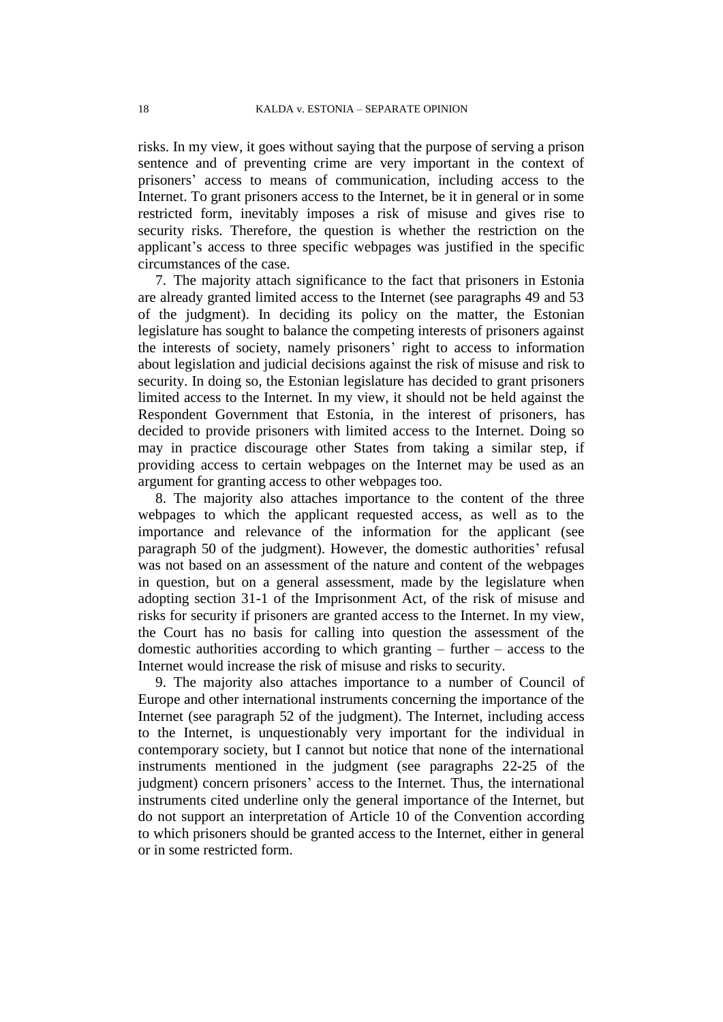risks. In my view, it goes without saying that the purpose of serving a prison sentence and of preventing crime are very important in the context of prisoners' access to means of communication, including access to the Internet. To grant prisoners access to the Internet, be it in general or in some restricted form, inevitably imposes a risk of misuse and gives rise to security risks. Therefore, the question is whether the restriction on the applicant's access to three specific webpages was justified in the specific circumstances of the case.

7. The majority attach significance to the fact that prisoners in Estonia are already granted limited access to the Internet (see paragraphs 49 and 53 of the judgment). In deciding its policy on the matter, the Estonian legislature has sought to balance the competing interests of prisoners against the interests of society, namely prisoners' right to access to information about legislation and judicial decisions against the risk of misuse and risk to security. In doing so, the Estonian legislature has decided to grant prisoners limited access to the Internet. In my view, it should not be held against the Respondent Government that Estonia, in the interest of prisoners, has decided to provide prisoners with limited access to the Internet. Doing so may in practice discourage other States from taking a similar step, if providing access to certain webpages on the Internet may be used as an argument for granting access to other webpages too.

8. The majority also attaches importance to the content of the three webpages to which the applicant requested access, as well as to the importance and relevance of the information for the applicant (see paragraph 50 of the judgment). However, the domestic authorities' refusal was not based on an assessment of the nature and content of the webpages in question, but on a general assessment, made by the legislature when adopting section 31-1 of the Imprisonment Act, of the risk of misuse and risks for security if prisoners are granted access to the Internet. In my view, the Court has no basis for calling into question the assessment of the domestic authorities according to which granting – further – access to the Internet would increase the risk of misuse and risks to security.

9. The majority also attaches importance to a number of Council of Europe and other international instruments concerning the importance of the Internet (see paragraph 52 of the judgment). The Internet, including access to the Internet, is unquestionably very important for the individual in contemporary society, but I cannot but notice that none of the international instruments mentioned in the judgment (see paragraphs 22-25 of the judgment) concern prisoners' access to the Internet. Thus, the international instruments cited underline only the general importance of the Internet, but do not support an interpretation of Article 10 of the Convention according to which prisoners should be granted access to the Internet, either in general or in some restricted form.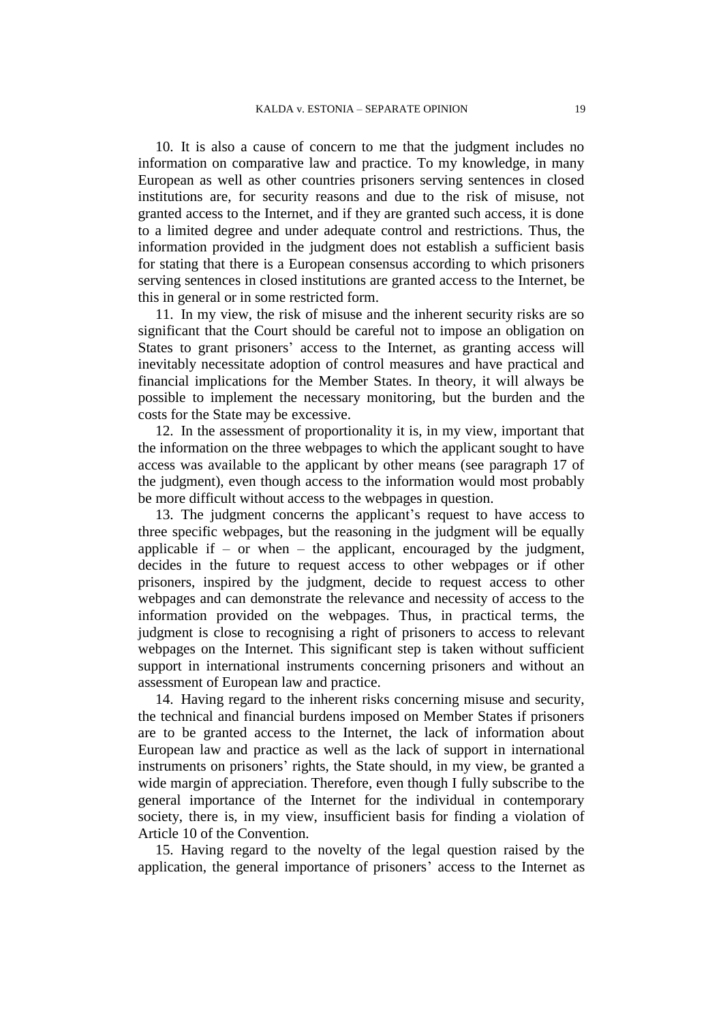10. It is also a cause of concern to me that the judgment includes no information on comparative law and practice. To my knowledge, in many European as well as other countries prisoners serving sentences in closed institutions are, for security reasons and due to the risk of misuse, not granted access to the Internet, and if they are granted such access, it is done to a limited degree and under adequate control and restrictions. Thus, the information provided in the judgment does not establish a sufficient basis for stating that there is a European consensus according to which prisoners serving sentences in closed institutions are granted access to the Internet, be this in general or in some restricted form.

11. In my view, the risk of misuse and the inherent security risks are so significant that the Court should be careful not to impose an obligation on States to grant prisoners' access to the Internet, as granting access will inevitably necessitate adoption of control measures and have practical and financial implications for the Member States. In theory, it will always be possible to implement the necessary monitoring, but the burden and the costs for the State may be excessive.

12. In the assessment of proportionality it is, in my view, important that the information on the three webpages to which the applicant sought to have access was available to the applicant by other means (see paragraph 17 of the judgment), even though access to the information would most probably be more difficult without access to the webpages in question.

13. The judgment concerns the applicant's request to have access to three specific webpages, but the reasoning in the judgment will be equally applicable if – or when – the applicant, encouraged by the judgment, decides in the future to request access to other webpages or if other prisoners, inspired by the judgment, decide to request access to other webpages and can demonstrate the relevance and necessity of access to the information provided on the webpages. Thus, in practical terms, the judgment is close to recognising a right of prisoners to access to relevant webpages on the Internet. This significant step is taken without sufficient support in international instruments concerning prisoners and without an assessment of European law and practice.

14. Having regard to the inherent risks concerning misuse and security, the technical and financial burdens imposed on Member States if prisoners are to be granted access to the Internet, the lack of information about European law and practice as well as the lack of support in international instruments on prisoners' rights, the State should, in my view, be granted a wide margin of appreciation. Therefore, even though I fully subscribe to the general importance of the Internet for the individual in contemporary society, there is, in my view, insufficient basis for finding a violation of Article 10 of the Convention.

15. Having regard to the novelty of the legal question raised by the application, the general importance of prisoners' access to the Internet as